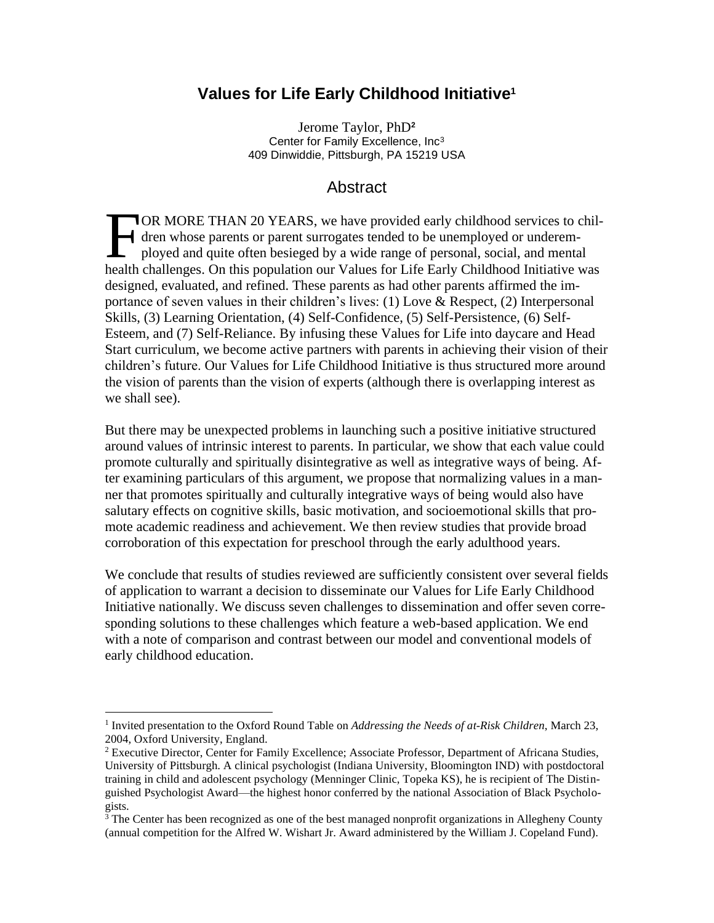## **Values for Life Early Childhood Initiative<sup>1</sup>**

Jerome Taylor, PhD**<sup>2</sup>** Center for Family Excellence, Inc<sup>3</sup> 409 Dinwiddie, Pittsburgh, PA 15219 USA

#### **Abstract**

OR MORE THAN 20 YEARS, we have provided early childhood services to children whose parents or parent surrogates tended to be unemployed or underemployed and quite often besieged by a wide range of personal, social, and mental OR MORE THAN 20 YEARS, we have provided early childhood services to children whose parents or parent surrogates tended to be unemployed or underemployed and quite often besieged by a wide range of personal, social, and men designed, evaluated, and refined. These parents as had other parents affirmed the importance of seven values in their children's lives: (1) Love  $\&$  Respect, (2) Interpersonal Skills, (3) Learning Orientation, (4) Self-Confidence, (5) Self-Persistence, (6) Self-Esteem, and (7) Self-Reliance. By infusing these Values for Life into daycare and Head Start curriculum, we become active partners with parents in achieving their vision of their children's future. Our Values for Life Childhood Initiative is thus structured more around the vision of parents than the vision of experts (although there is overlapping interest as we shall see).

But there may be unexpected problems in launching such a positive initiative structured around values of intrinsic interest to parents. In particular, we show that each value could promote culturally and spiritually disintegrative as well as integrative ways of being. After examining particulars of this argument, we propose that normalizing values in a manner that promotes spiritually and culturally integrative ways of being would also have salutary effects on cognitive skills, basic motivation, and socioemotional skills that promote academic readiness and achievement. We then review studies that provide broad corroboration of this expectation for preschool through the early adulthood years.

We conclude that results of studies reviewed are sufficiently consistent over several fields of application to warrant a decision to disseminate our Values for Life Early Childhood Initiative nationally. We discuss seven challenges to dissemination and offer seven corresponding solutions to these challenges which feature a web-based application. We end with a note of comparison and contrast between our model and conventional models of early childhood education.

<sup>&</sup>lt;sup>1</sup> Invited presentation to the Oxford Round Table on *Addressing the Needs of at-Risk Children*, March 23, 2004, Oxford University, England.

<sup>&</sup>lt;sup>2</sup> Executive Director, Center for Family Excellence; Associate Professor, Department of Africana Studies, University of Pittsburgh. A clinical psychologist (Indiana University, Bloomington IND) with postdoctoral training in child and adolescent psychology (Menninger Clinic, Topeka KS), he is recipient of The Distinguished Psychologist Award—the highest honor conferred by the national Association of Black Psychologists.

 $3$  The Center has been recognized as one of the best managed nonprofit organizations in Allegheny County (annual competition for the Alfred W. Wishart Jr. Award administered by the William J. Copeland Fund).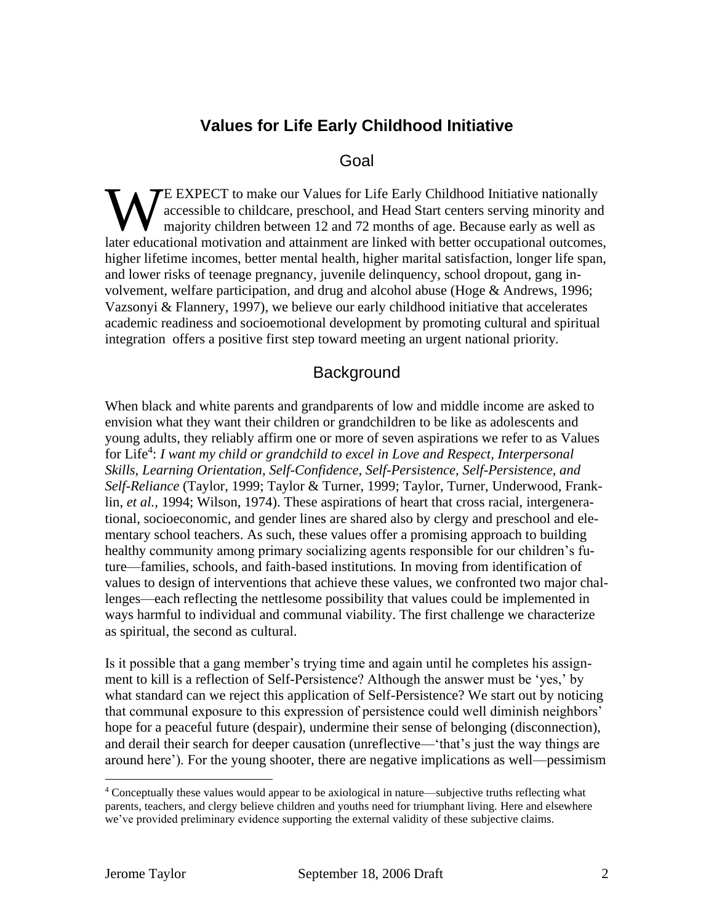# **Values for Life Early Childhood Initiative**

#### Goal

**E** EXPECT to make our Values for Life Early Childhood Initiative nationally accessible to childcare, preschool, and Head Start centers serving minority and majority children between 12 and 72 months of age. Because early as well as **LATE EXPECT** to make our Values for Life Early Childhood Initiative nationally accessible to childcare, preschool, and Head Start centers serving minority and majority children between 12 and 72 months of age. Because ear higher lifetime incomes, better mental health, higher marital satisfaction, longer life span, and lower risks of teenage pregnancy, juvenile delinquency, school dropout, gang involvement, welfare participation, and drug and alcohol abuse (Hoge & Andrews, 1996; Vazsonyi & Flannery, 1997), we believe our early childhood initiative that accelerates academic readiness and socioemotional development by promoting cultural and spiritual integration offers a positive first step toward meeting an urgent national priority*.*

#### **Background**

When black and white parents and grandparents of low and middle income are asked to envision what they want their children or grandchildren to be like as adolescents and young adults, they reliably affirm one or more of seven aspirations we refer to as Values for Life<sup>4</sup>: I want my child or grandchild to excel in Love and Respect, Interpersonal *Skills, Learning Orientation, Self-Confidence, Self-Persistence, Self-Persistence, and Self-Reliance* (Taylor, 1999; Taylor & Turner, 1999; Taylor, Turner, Underwood, Franklin, *et al.,* 1994; Wilson, 1974). These aspirations of heart that cross racial, intergenerational, socioeconomic, and gender lines are shared also by clergy and preschool and elementary school teachers. As such, these values offer a promising approach to building healthy community among primary socializing agents responsible for our children's future—families, schools, and faith-based institutions*.* In moving from identification of values to design of interventions that achieve these values, we confronted two major challenges—each reflecting the nettlesome possibility that values could be implemented in ways harmful to individual and communal viability. The first challenge we characterize as spiritual, the second as cultural.

Is it possible that a gang member's trying time and again until he completes his assignment to kill is a reflection of Self-Persistence? Although the answer must be 'yes,' by what standard can we reject this application of Self-Persistence? We start out by noticing that communal exposure to this expression of persistence could well diminish neighbors' hope for a peaceful future (despair), undermine their sense of belonging (disconnection), and derail their search for deeper causation (unreflective—'that's just the way things are around here'). For the young shooter, there are negative implications as well—pessimism

<sup>4</sup> Conceptually these values would appear to be axiological in nature—subjective truths reflecting what parents, teachers, and clergy believe children and youths need for triumphant living. Here and elsewhere we've provided preliminary evidence supporting the external validity of these subjective claims.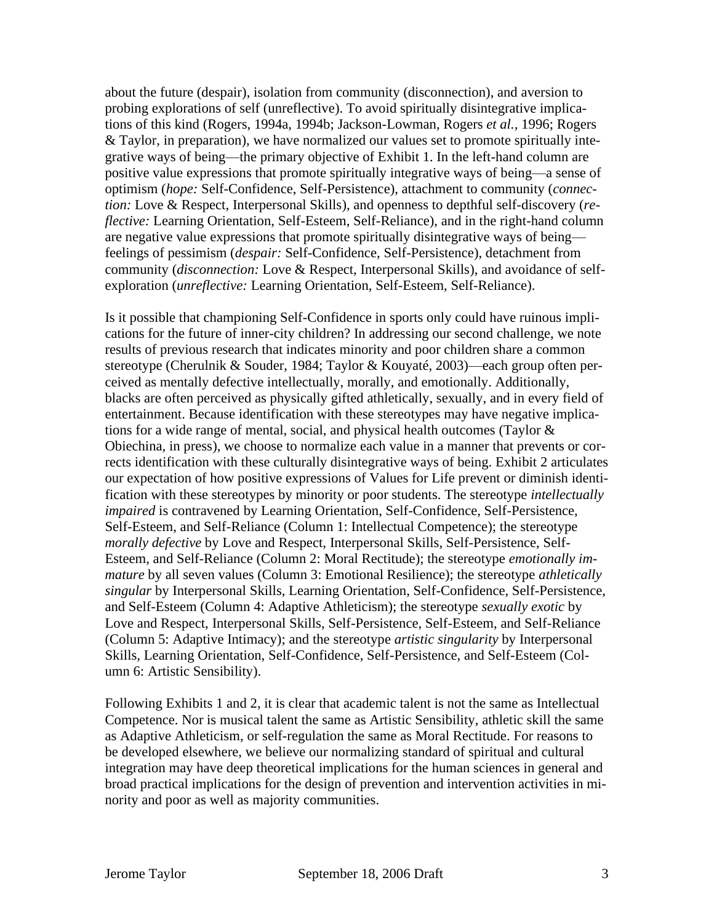about the future (despair), isolation from community (disconnection), and aversion to probing explorations of self (unreflective). To avoid spiritually disintegrative implications of this kind (Rogers, 1994a, 1994b; Jackson-Lowman, Rogers *et al.,* 1996; Rogers & Taylor, in preparation), we have normalized our values set to promote spiritually integrative ways of being—the primary objective of Exhibit 1. In the left-hand column are positive value expressions that promote spiritually integrative ways of being—a sense of optimism (*hope:* Self-Confidence, Self-Persistence), attachment to community (*connection:* Love & Respect, Interpersonal Skills), and openness to depthful self-discovery (*reflective:* Learning Orientation, Self-Esteem, Self-Reliance), and in the right-hand column are negative value expressions that promote spiritually disintegrative ways of being feelings of pessimism (*despair:* Self-Confidence, Self-Persistence), detachment from community (*disconnection:* Love & Respect, Interpersonal Skills), and avoidance of selfexploration (*unreflective:* Learning Orientation, Self-Esteem, Self-Reliance).

Is it possible that championing Self-Confidence in sports only could have ruinous implications for the future of inner-city children? In addressing our second challenge, we note results of previous research that indicates minority and poor children share a common stereotype (Cherulnik & Souder, 1984; Taylor & Kouyaté, 2003)—each group often perceived as mentally defective intellectually, morally, and emotionally. Additionally, blacks are often perceived as physically gifted athletically, sexually, and in every field of entertainment. Because identification with these stereotypes may have negative implications for a wide range of mental, social, and physical health outcomes (Taylor & Obiechina, in press), we choose to normalize each value in a manner that prevents or corrects identification with these culturally disintegrative ways of being. Exhibit 2 articulates our expectation of how positive expressions of Values for Life prevent or diminish identification with these stereotypes by minority or poor students. The stereotype *intellectually impaired* is contravened by Learning Orientation, Self-Confidence, Self-Persistence, Self-Esteem, and Self-Reliance (Column 1: Intellectual Competence); the stereotype *morally defective* by Love and Respect, Interpersonal Skills, Self-Persistence, Self-Esteem, and Self-Reliance (Column 2: Moral Rectitude); the stereotype *emotionally immature* by all seven values (Column 3: Emotional Resilience); the stereotype *athletically singular* by Interpersonal Skills, Learning Orientation, Self-Confidence, Self-Persistence, and Self-Esteem (Column 4: Adaptive Athleticism); the stereotype *sexually exotic* by Love and Respect, Interpersonal Skills, Self-Persistence, Self-Esteem, and Self-Reliance (Column 5: Adaptive Intimacy); and the stereotype *artistic singularity* by Interpersonal Skills, Learning Orientation, Self-Confidence, Self-Persistence, and Self-Esteem (Column 6: Artistic Sensibility).

Following Exhibits 1 and 2, it is clear that academic talent is not the same as Intellectual Competence. Nor is musical talent the same as Artistic Sensibility, athletic skill the same as Adaptive Athleticism, or self-regulation the same as Moral Rectitude. For reasons to be developed elsewhere, we believe our normalizing standard of spiritual and cultural integration may have deep theoretical implications for the human sciences in general and broad practical implications for the design of prevention and intervention activities in minority and poor as well as majority communities.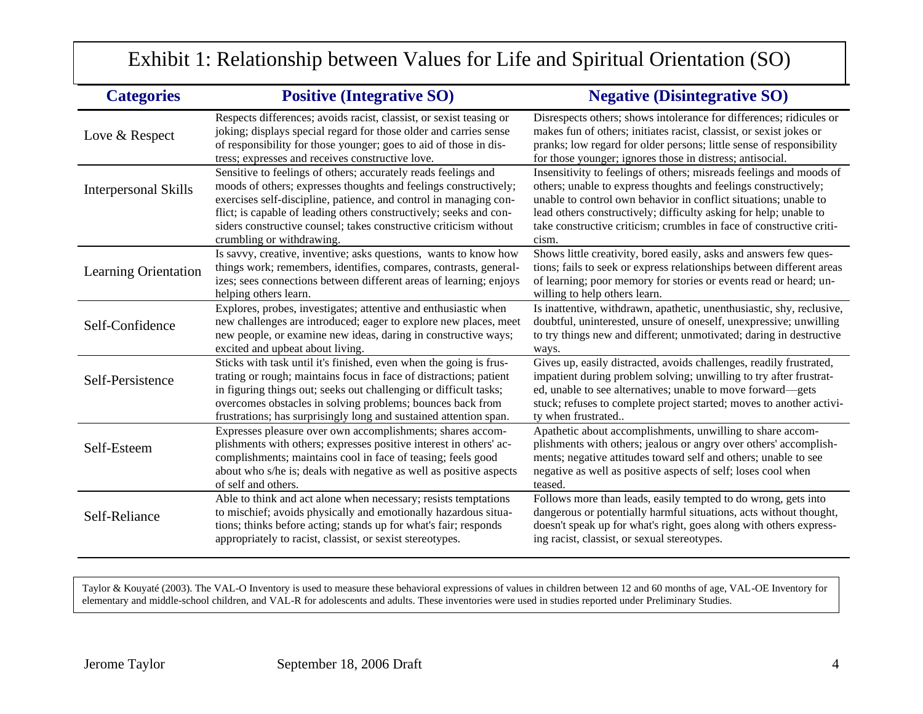# Exhibit 1: Relationship between Values for Life and Spiritual Orientation (SO)

| <b>Categories</b>           | <b>Positive (Integrative SO)</b>                                                                                                                                                                                                                                                                                                                                                | <b>Negative (Disintegrative SO)</b>                                                                                                                                                                                                                                                                                                                              |
|-----------------------------|---------------------------------------------------------------------------------------------------------------------------------------------------------------------------------------------------------------------------------------------------------------------------------------------------------------------------------------------------------------------------------|------------------------------------------------------------------------------------------------------------------------------------------------------------------------------------------------------------------------------------------------------------------------------------------------------------------------------------------------------------------|
| Love & Respect              | Respects differences; avoids racist, classist, or sexist teasing or<br>joking; displays special regard for those older and carries sense<br>of responsibility for those younger; goes to aid of those in dis-<br>tress; expresses and receives constructive love.                                                                                                               | Disrespects others; shows intolerance for differences; ridicules or<br>makes fun of others; initiates racist, classist, or sexist jokes or<br>pranks; low regard for older persons; little sense of responsibility<br>for those younger; ignores those in distress; antisocial.                                                                                  |
| <b>Interpersonal Skills</b> | Sensitive to feelings of others; accurately reads feelings and<br>moods of others; expresses thoughts and feelings constructively;<br>exercises self-discipline, patience, and control in managing con-<br>flict; is capable of leading others constructively; seeks and con-<br>siders constructive counsel; takes constructive criticism without<br>crumbling or withdrawing. | Insensitivity to feelings of others; misreads feelings and moods of<br>others; unable to express thoughts and feelings constructively;<br>unable to control own behavior in conflict situations; unable to<br>lead others constructively; difficulty asking for help; unable to<br>take constructive criticism; crumbles in face of constructive criti-<br>cism. |
| <b>Learning Orientation</b> | Is savvy, creative, inventive; asks questions, wants to know how<br>things work; remembers, identifies, compares, contrasts, general-<br>izes; sees connections between different areas of learning; enjoys<br>helping others learn.                                                                                                                                            | Shows little creativity, bored easily, asks and answers few ques-<br>tions; fails to seek or express relationships between different areas<br>of learning; poor memory for stories or events read or heard; un-<br>willing to help others learn.                                                                                                                 |
| Self-Confidence             | Explores, probes, investigates; attentive and enthusiastic when<br>new challenges are introduced; eager to explore new places, meet<br>new people, or examine new ideas, daring in constructive ways;<br>excited and upbeat about living.                                                                                                                                       | Is inattentive, withdrawn, apathetic, unenthusiastic, shy, reclusive,<br>doubtful, uninterested, unsure of oneself, unexpressive; unwilling<br>to try things new and different; unmotivated; daring in destructive<br>ways.                                                                                                                                      |
| Self-Persistence            | Sticks with task until it's finished, even when the going is frus-<br>trating or rough; maintains focus in face of distractions; patient<br>in figuring things out; seeks out challenging or difficult tasks;<br>overcomes obstacles in solving problems; bounces back from<br>frustrations; has surprisingly long and sustained attention span.                                | Gives up, easily distracted, avoids challenges, readily frustrated,<br>impatient during problem solving; unwilling to try after frustrat-<br>ed, unable to see alternatives; unable to move forward—gets<br>stuck; refuses to complete project started; moves to another activi-<br>ty when frustrated                                                           |
| Self-Esteem                 | Expresses pleasure over own accomplishments; shares accom-<br>plishments with others; expresses positive interest in others' ac-<br>complishments; maintains cool in face of teasing; feels good<br>about who s/he is; deals with negative as well as positive aspects<br>of self and others.                                                                                   | Apathetic about accomplishments, unwilling to share accom-<br>plishments with others; jealous or angry over others' accomplish-<br>ments; negative attitudes toward self and others; unable to see<br>negative as well as positive aspects of self; loses cool when<br>teased.                                                                                   |
| Self-Reliance               | Able to think and act alone when necessary; resists temptations<br>to mischief; avoids physically and emotionally hazardous situa-<br>tions; thinks before acting; stands up for what's fair; responds<br>appropriately to racist, classist, or sexist stereotypes.                                                                                                             | Follows more than leads, easily tempted to do wrong, gets into<br>dangerous or potentially harmful situations, acts without thought,<br>doesn't speak up for what's right, goes along with others express-<br>ing racist, classist, or sexual stereotypes.                                                                                                       |

Taylor & Kouyaté (2003). The VAL-O Inventory is used to measure these behavioral expressions of values in children between 12 and 60 months of age, VAL-OE Inventory for elementary and middle-school children, and VAL-R for adolescents and adults. These inventories were used in studies reported under Preliminary Studies.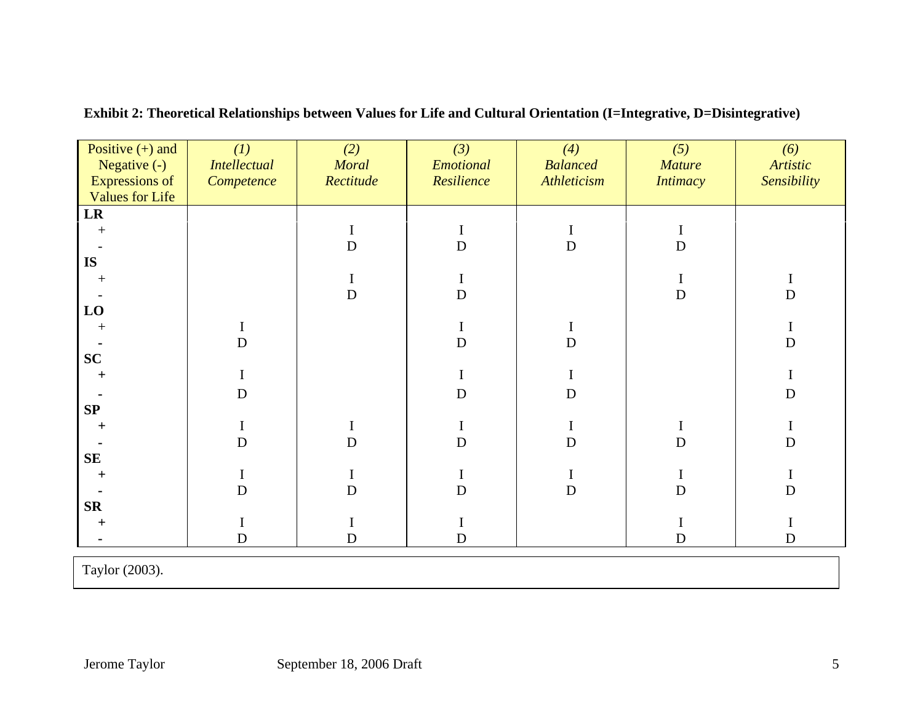| Positive $(+)$ and     | (I)                 | (2)          | (3)        | (4)             | (5)             | (6)         |
|------------------------|---------------------|--------------|------------|-----------------|-----------------|-------------|
| Negative $(-)$         | <b>Intellectual</b> | <b>Moral</b> | Emotional  | <b>Balanced</b> | <b>Mature</b>   | Artistic    |
| <b>Expressions of</b>  | Competence          | Rectitude    | Resilience | Athleticism     | <b>Intimacy</b> | Sensibility |
| <b>Values for Life</b> |                     |              |            |                 |                 |             |
| LR                     |                     |              |            |                 |                 |             |
| $+$                    |                     |              |            |                 | $\mathbf{I}$    |             |
|                        |                     | D            | D          | ${\bf D}$       | $\mathbf D$     |             |
| <b>IS</b>              |                     |              |            |                 |                 |             |
| $^{+}$                 |                     |              |            |                 |                 |             |
|                        |                     | D            | D          |                 | $\mathbf D$     | D           |
| LO                     |                     |              |            |                 |                 |             |
| $+$                    |                     |              |            | $\mathbf{I}$    |                 |             |
|                        | D                   |              | D          | D               |                 | $\mathbf D$ |
| SC                     |                     |              |            |                 |                 |             |
| $\pm$                  |                     |              |            |                 |                 |             |
|                        | D                   |              | D          | D               |                 | ${\bf D}$   |
| SP                     |                     |              |            |                 |                 |             |
|                        |                     | I            |            | T               | $\bf{I}$        |             |
|                        | D                   | $\mathbf D$  | D          | $\mathbf D$     | D               | $\mathbf D$ |
| SE                     |                     |              |            |                 |                 |             |
| $\bm{+}$               |                     |              |            |                 |                 |             |
|                        | D                   | $\mathbf D$  | D          | ${\bf D}$       | D               | $\mathbf D$ |
| ${\bf SR}$             |                     |              |            |                 |                 |             |
| $\pm$                  |                     |              |            |                 |                 |             |
|                        | D                   | $\mathbf D$  | D          |                 | D               | D           |

**Exhibit 2: Theoretical Relationships between Values for Life and Cultural Orientation (I=Integrative, D=Disintegrative)**

Taylor (2003).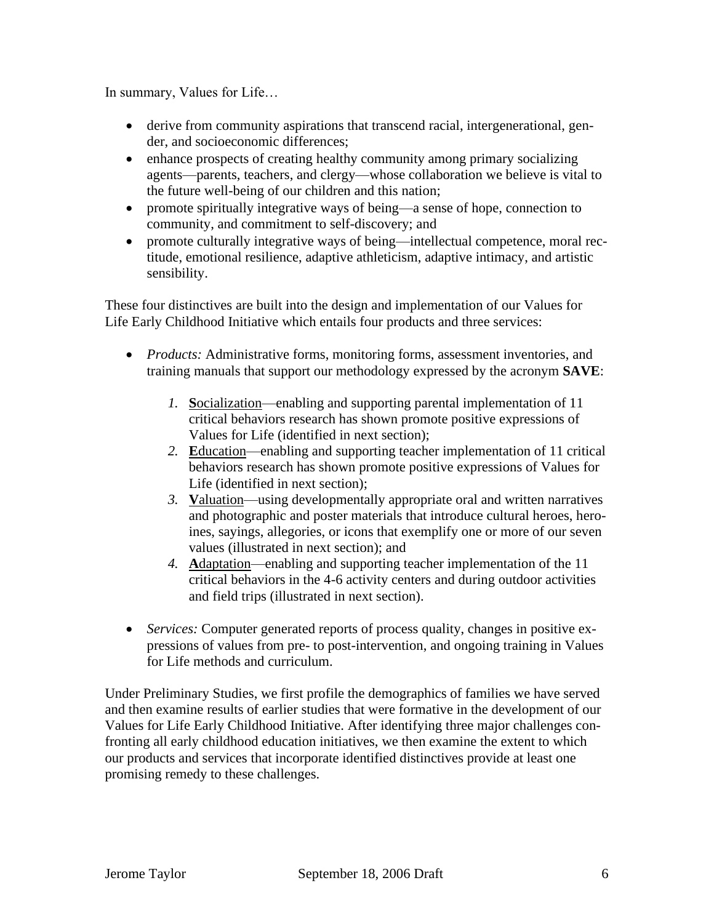In summary, Values for Life…

- derive from community aspirations that transcend racial, intergenerational, gender, and socioeconomic differences;
- enhance prospects of creating healthy community among primary socializing agents—parents, teachers, and clergy—whose collaboration we believe is vital to the future well-being of our children and this nation;
- promote spiritually integrative ways of being—a sense of hope, connection to community, and commitment to self-discovery; and
- promote culturally integrative ways of being—intellectual competence, moral rectitude, emotional resilience, adaptive athleticism, adaptive intimacy, and artistic sensibility.

These four distinctives are built into the design and implementation of our Values for Life Early Childhood Initiative which entails four products and three services:

- *Products:* Administrative forms, monitoring forms, assessment inventories, and training manuals that support our methodology expressed by the acronym **SAVE**:
	- *1.* **S**ocialization—enabling and supporting parental implementation of 11 critical behaviors research has shown promote positive expressions of Values for Life (identified in next section);
	- *2.* **E**ducation—enabling and supporting teacher implementation of 11 critical behaviors research has shown promote positive expressions of Values for Life (identified in next section);
	- *3.* **V**aluation—using developmentally appropriate oral and written narratives and photographic and poster materials that introduce cultural heroes, heroines, sayings, allegories, or icons that exemplify one or more of our seven values (illustrated in next section); and
	- *4.* **A**daptation—enabling and supporting teacher implementation of the 11 critical behaviors in the 4-6 activity centers and during outdoor activities and field trips (illustrated in next section).
- *Services:* Computer generated reports of process quality, changes in positive expressions of values from pre- to post-intervention, and ongoing training in Values for Life methods and curriculum.

Under Preliminary Studies, we first profile the demographics of families we have served and then examine results of earlier studies that were formative in the development of our Values for Life Early Childhood Initiative. After identifying three major challenges confronting all early childhood education initiatives, we then examine the extent to which our products and services that incorporate identified distinctives provide at least one promising remedy to these challenges.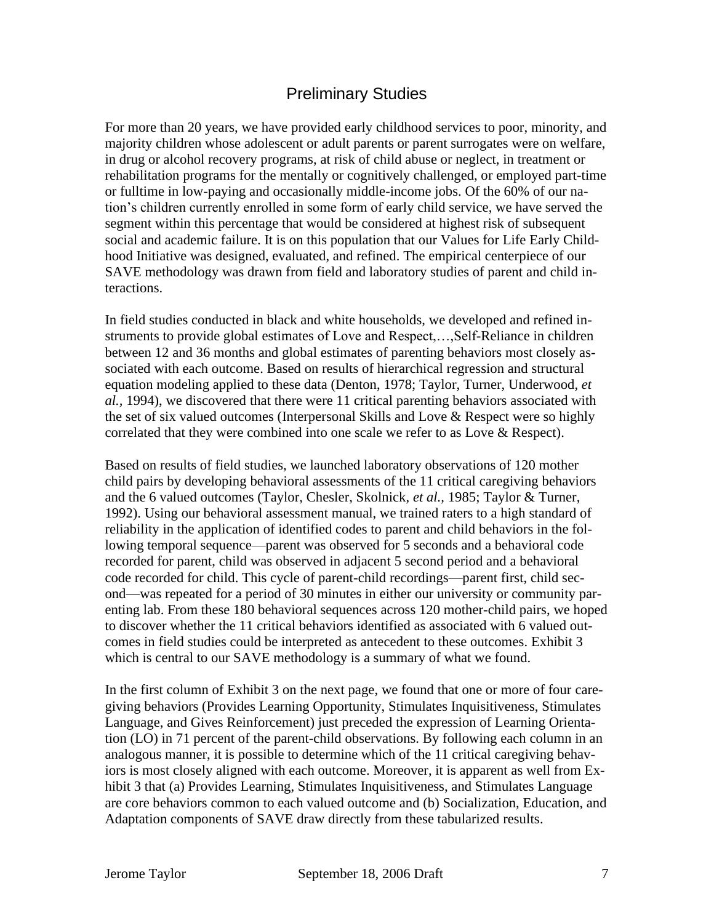# Preliminary Studies

For more than 20 years, we have provided early childhood services to poor, minority, and majority children whose adolescent or adult parents or parent surrogates were on welfare, in drug or alcohol recovery programs, at risk of child abuse or neglect, in treatment or rehabilitation programs for the mentally or cognitively challenged, or employed part-time or fulltime in low-paying and occasionally middle-income jobs. Of the 60% of our nation's children currently enrolled in some form of early child service, we have served the segment within this percentage that would be considered at highest risk of subsequent social and academic failure. It is on this population that our Values for Life Early Childhood Initiative was designed, evaluated, and refined. The empirical centerpiece of our SAVE methodology was drawn from field and laboratory studies of parent and child interactions.

In field studies conducted in black and white households, we developed and refined instruments to provide global estimates of Love and Respect,…,Self-Reliance in children between 12 and 36 months and global estimates of parenting behaviors most closely associated with each outcome. Based on results of hierarchical regression and structural equation modeling applied to these data (Denton, 1978; Taylor, Turner, Underwood, *et al.,* 1994), we discovered that there were 11 critical parenting behaviors associated with the set of six valued outcomes (Interpersonal Skills and Love & Respect were so highly correlated that they were combined into one scale we refer to as Love & Respect).

Based on results of field studies, we launched laboratory observations of 120 mother child pairs by developing behavioral assessments of the 11 critical caregiving behaviors and the 6 valued outcomes (Taylor, Chesler, Skolnick*, et al.,* 1985; Taylor & Turner, 1992). Using our behavioral assessment manual, we trained raters to a high standard of reliability in the application of identified codes to parent and child behaviors in the following temporal sequence—parent was observed for 5 seconds and a behavioral code recorded for parent, child was observed in adjacent 5 second period and a behavioral code recorded for child. This cycle of parent-child recordings—parent first, child second—was repeated for a period of 30 minutes in either our university or community parenting lab. From these 180 behavioral sequences across 120 mother-child pairs, we hoped to discover whether the 11 critical behaviors identified as associated with 6 valued outcomes in field studies could be interpreted as antecedent to these outcomes. Exhibit 3 which is central to our SAVE methodology is a summary of what we found.

In the first column of Exhibit 3 on the next page, we found that one or more of four caregiving behaviors (Provides Learning Opportunity, Stimulates Inquisitiveness, Stimulates Language, and Gives Reinforcement) just preceded the expression of Learning Orientation (LO) in 71 percent of the parent-child observations. By following each column in an analogous manner, it is possible to determine which of the 11 critical caregiving behaviors is most closely aligned with each outcome. Moreover, it is apparent as well from Exhibit 3 that (a) Provides Learning, Stimulates Inquisitiveness, and Stimulates Language are core behaviors common to each valued outcome and (b) Socialization, Education, and Adaptation components of SAVE draw directly from these tabularized results.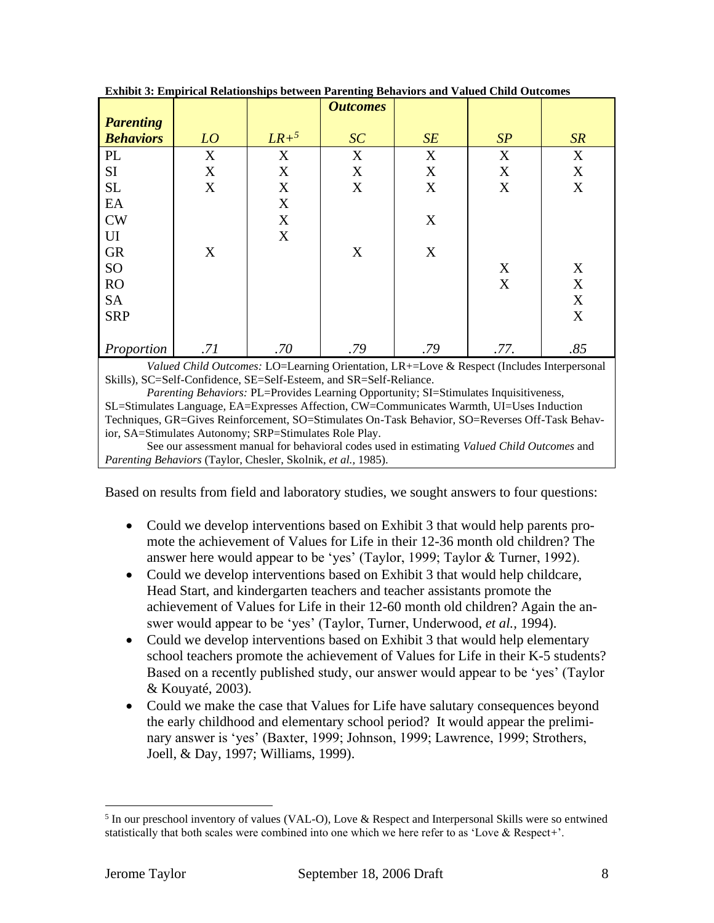|                                                                                            |     |                    | <b>Outcomes</b> |     |      |     |
|--------------------------------------------------------------------------------------------|-----|--------------------|-----------------|-----|------|-----|
| <b>Parenting</b>                                                                           |     |                    |                 |     |      |     |
| <b>Behaviors</b>                                                                           | LO  | $LR+$ <sup>5</sup> | SC              | SE  | SP   | SR  |
| PL                                                                                         | X   | X                  | X               | X   | X    | X   |
| <b>SI</b>                                                                                  | X   | X                  | X               | X   | X    | X   |
| <b>SL</b>                                                                                  | X   | X                  | X               | X   | X    | X   |
| EA                                                                                         |     | X                  |                 |     |      |     |
| <b>CW</b>                                                                                  |     | X                  |                 | X   |      |     |
| UI                                                                                         |     | X                  |                 |     |      |     |
| <b>GR</b>                                                                                  | X   |                    | X               | X   |      |     |
| <b>SO</b>                                                                                  |     |                    |                 |     | X    | X   |
| <b>RO</b>                                                                                  |     |                    |                 |     | X    | X   |
| <b>SA</b>                                                                                  |     |                    |                 |     |      | X   |
| <b>SRP</b>                                                                                 |     |                    |                 |     |      | X   |
|                                                                                            |     |                    |                 |     |      |     |
| Proportion                                                                                 | .71 | .70                | .79             | .79 | .77. | .85 |
| Valued Child Outcomes: LO=Learning Orientation, LR+=Love & Respect (Includes Interpersonal |     |                    |                 |     |      |     |
| Skills), SC=Self-Confidence, SE=Self-Esteem, and SR=Self-Reliance.                         |     |                    |                 |     |      |     |

**Exhibit 3: Empirical Relationships between Parenting Behaviors and Valued Child Outcomes**

*Parenting Behaviors:* PL=Provides Learning Opportunity; SI=Stimulates Inquisitiveness, SL=Stimulates Language, EA=Expresses Affection, CW=Communicates Warmth, UI=Uses Induction Techniques, GR=Gives Reinforcement, SO=Stimulates On-Task Behavior, SO=Reverses Off-Task Behav-

ior, SA=Stimulates Autonomy; SRP=Stimulates Role Play.

See our assessment manual for behavioral codes used in estimating *Valued Child Outcomes* and *Parenting Behaviors* (Taylor, Chesler, Skolnik, *et al.,* 1985).

Based on results from field and laboratory studies, we sought answers to four questions:

- Could we develop interventions based on Exhibit 3 that would help parents promote the achievement of Values for Life in their 12-36 month old children? The answer here would appear to be 'yes' (Taylor, 1999; Taylor & Turner, 1992).
- Could we develop interventions based on Exhibit 3 that would help childcare, Head Start, and kindergarten teachers and teacher assistants promote the achievement of Values for Life in their 12-60 month old children? Again the answer would appear to be 'yes' (Taylor, Turner, Underwood, *et al.,* 1994).
- Could we develop interventions based on Exhibit 3 that would help elementary school teachers promote the achievement of Values for Life in their K-5 students? Based on a recently published study, our answer would appear to be 'yes' (Taylor & Kouyaté, 2003).
- Could we make the case that Values for Life have salutary consequences beyond the early childhood and elementary school period? It would appear the preliminary answer is 'yes' (Baxter, 1999; Johnson, 1999; Lawrence, 1999; Strothers, Joell, & Day, 1997; Williams, 1999).

<sup>&</sup>lt;sup>5</sup> In our preschool inventory of values (VAL-O), Love & Respect and Interpersonal Skills were so entwined statistically that both scales were combined into one which we here refer to as 'Love & Respect+'.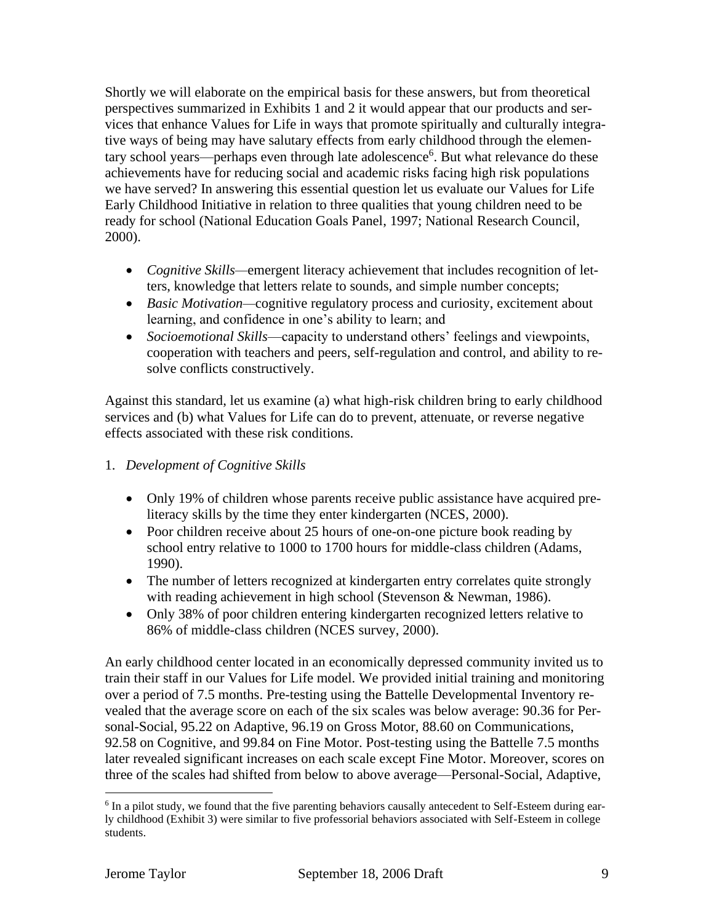Shortly we will elaborate on the empirical basis for these answers, but from theoretical perspectives summarized in Exhibits 1 and 2 it would appear that our products and services that enhance Values for Life in ways that promote spiritually and culturally integrative ways of being may have salutary effects from early childhood through the elementary school years—perhaps even through late adolescence<sup>6</sup>. But what relevance do these achievements have for reducing social and academic risks facing high risk populations we have served? In answering this essential question let us evaluate our Values for Life Early Childhood Initiative in relation to three qualities that young children need to be ready for school (National Education Goals Panel, 1997; National Research Council, 2000).

- *Cognitive Skills—*emergent literacy achievement that includes recognition of letters, knowledge that letters relate to sounds, and simple number concepts;
- *Basic Motivation—*cognitive regulatory process and curiosity, excitement about learning, and confidence in one's ability to learn; and
- *Socioemotional Skills*—capacity to understand others' feelings and viewpoints, cooperation with teachers and peers, self-regulation and control, and ability to resolve conflicts constructively.

Against this standard, let us examine (a) what high-risk children bring to early childhood services and (b) what Values for Life can do to prevent, attenuate, or reverse negative effects associated with these risk conditions.

- 1. *Development of Cognitive Skills*
	- Only 19% of children whose parents receive public assistance have acquired preliteracy skills by the time they enter kindergarten (NCES, 2000).
	- Poor children receive about 25 hours of one-on-one picture book reading by school entry relative to 1000 to 1700 hours for middle-class children (Adams, 1990).
	- The number of letters recognized at kindergarten entry correlates quite strongly with reading achievement in high school (Stevenson & Newman, 1986).
	- Only 38% of poor children entering kindergarten recognized letters relative to 86% of middle-class children (NCES survey, 2000).

An early childhood center located in an economically depressed community invited us to train their staff in our Values for Life model. We provided initial training and monitoring over a period of 7.5 months. Pre-testing using the Battelle Developmental Inventory revealed that the average score on each of the six scales was below average: 90.36 for Personal-Social, 95.22 on Adaptive, 96.19 on Gross Motor, 88.60 on Communications, 92.58 on Cognitive, and 99.84 on Fine Motor. Post-testing using the Battelle 7.5 months later revealed significant increases on each scale except Fine Motor. Moreover, scores on three of the scales had shifted from below to above average—Personal-Social, Adaptive,

<sup>&</sup>lt;sup>6</sup> In a pilot study, we found that the five parenting behaviors causally antecedent to Self-Esteem during early childhood (Exhibit 3) were similar to five professorial behaviors associated with Self-Esteem in college students.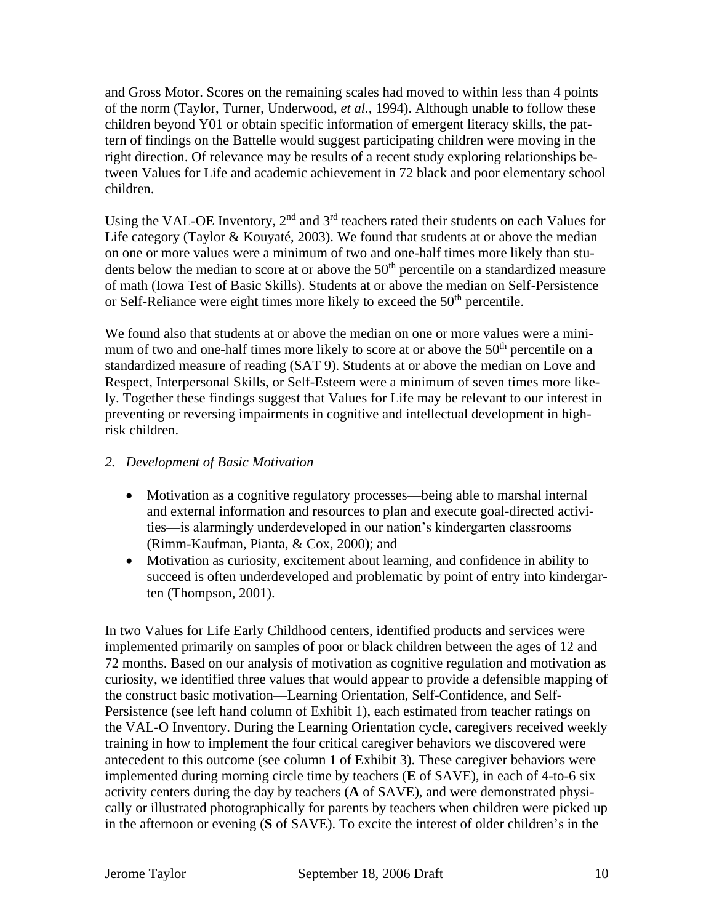and Gross Motor. Scores on the remaining scales had moved to within less than 4 points of the norm (Taylor, Turner, Underwood, *et al.,* 1994). Although unable to follow these children beyond Y01 or obtain specific information of emergent literacy skills, the pattern of findings on the Battelle would suggest participating children were moving in the right direction. Of relevance may be results of a recent study exploring relationships between Values for Life and academic achievement in 72 black and poor elementary school children.

Using the VAL-OE Inventory,  $2<sup>nd</sup>$  and  $3<sup>rd</sup>$  teachers rated their students on each Values for Life category (Taylor & Kouyaté, 2003). We found that students at or above the median on one or more values were a minimum of two and one-half times more likely than students below the median to score at or above the  $50<sup>th</sup>$  percentile on a standardized measure of math (Iowa Test of Basic Skills). Students at or above the median on Self-Persistence or Self-Reliance were eight times more likely to exceed the  $50<sup>th</sup>$  percentile.

We found also that students at or above the median on one or more values were a minimum of two and one-half times more likely to score at or above the 50<sup>th</sup> percentile on a standardized measure of reading (SAT 9). Students at or above the median on Love and Respect, Interpersonal Skills, or Self-Esteem were a minimum of seven times more likely. Together these findings suggest that Values for Life may be relevant to our interest in preventing or reversing impairments in cognitive and intellectual development in highrisk children.

#### *2. Development of Basic Motivation*

- Motivation as a cognitive regulatory processes—being able to marshal internal and external information and resources to plan and execute goal-directed activities—is alarmingly underdeveloped in our nation's kindergarten classrooms (Rimm-Kaufman, Pianta, & Cox, 2000); and
- Motivation as curiosity, excitement about learning, and confidence in ability to succeed is often underdeveloped and problematic by point of entry into kindergarten (Thompson, 2001).

In two Values for Life Early Childhood centers, identified products and services were implemented primarily on samples of poor or black children between the ages of 12 and 72 months. Based on our analysis of motivation as cognitive regulation and motivation as curiosity, we identified three values that would appear to provide a defensible mapping of the construct basic motivation—Learning Orientation, Self-Confidence, and Self-Persistence (see left hand column of Exhibit 1), each estimated from teacher ratings on the VAL-O Inventory. During the Learning Orientation cycle, caregivers received weekly training in how to implement the four critical caregiver behaviors we discovered were antecedent to this outcome (see column 1 of Exhibit 3). These caregiver behaviors were implemented during morning circle time by teachers (**E** of SAVE), in each of 4-to-6 six activity centers during the day by teachers (**A** of SAVE), and were demonstrated physically or illustrated photographically for parents by teachers when children were picked up in the afternoon or evening (**S** of SAVE). To excite the interest of older children's in the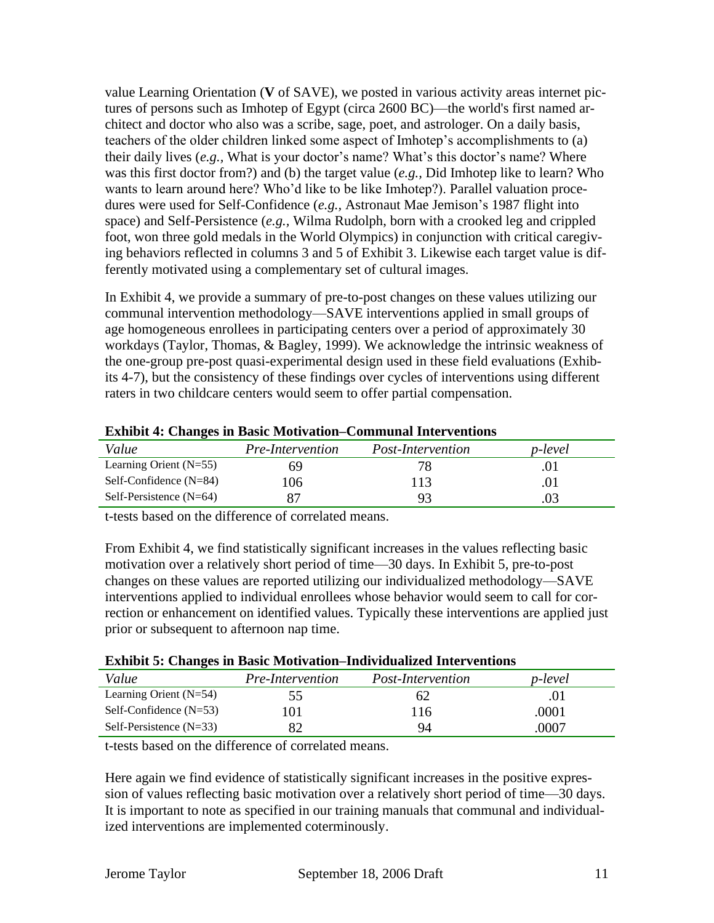value Learning Orientation (**V** of SAVE), we posted in various activity areas internet pictures of persons such as Imhotep of Egypt (circa 2600 BC)—the world's first named architect and doctor who also was a [scribe,](http://www.touregypt.net/magazine/mag02012001/magf2.htm) sage, poet, and astrologer. On a daily basis, teachers of the older children linked some aspect of Imhotep's accomplishments to (a) their daily lives (*e.g.,* What is your doctor's name? What's this doctor's name? Where was this first doctor from?) and (b) the target value (*e.g.,* Did Imhotep like to learn? Who wants to learn around here? Who'd like to be like Imhotep?). Parallel valuation procedures were used for Self-Confidence (*e.g.,* Astronaut Mae Jemison's 1987 flight into space) and Self-Persistence (*e.g.,* Wilma Rudolph, born with a crooked leg and crippled foot, won three gold medals in the World Olympics) in conjunction with critical caregiving behaviors reflected in columns 3 and 5 of Exhibit 3. Likewise each target value is differently motivated using a complementary set of cultural images.

In Exhibit 4, we provide a summary of pre-to-post changes on these values utilizing our communal intervention methodology—SAVE interventions applied in small groups of age homogeneous enrollees in participating centers over a period of approximately 30 workdays (Taylor, Thomas, & Bagley, 1999). We acknowledge the intrinsic weakness of the one-group pre-post quasi-experimental design used in these field evaluations (Exhibits 4-7), but the consistency of these findings over cycles of interventions using different raters in two childcare centers would seem to offer partial compensation.

| . .                       |                         |                          |                |
|---------------------------|-------------------------|--------------------------|----------------|
| Value                     | <i>Pre-Intervention</i> | <i>Post-Intervention</i> | <i>p-level</i> |
| Learning Orient $(N=55)$  | 69                      |                          |                |
| Self-Confidence $(N=84)$  | 106                     | 113                      |                |
| Self-Persistence $(N=64)$ | 87                      |                          |                |

**Exhibit 4: Changes in Basic Motivation–Communal Interventions**

t-tests based on the difference of correlated means.

From Exhibit 4, we find statistically significant increases in the values reflecting basic motivation over a relatively short period of time—30 days. In Exhibit 5, pre-to-post changes on these values are reported utilizing our individualized methodology—SAVE interventions applied to individual enrollees whose behavior would seem to call for correction or enhancement on identified values. Typically these interventions are applied just prior or subsequent to afternoon nap time.

| Value                     | <i>Pre-Intervention</i> | <i>Post-Intervention</i> | p-level |
|---------------------------|-------------------------|--------------------------|---------|
| Learning Orient $(N=54)$  | 55                      | ΩZ                       | O       |
| Self-Confidence $(N=53)$  | -01                     | 116                      | .0001   |
| Self-Persistence $(N=33)$ |                         | 94                       | 0007    |

t-tests based on the difference of correlated means.

Here again we find evidence of statistically significant increases in the positive expression of values reflecting basic motivation over a relatively short period of time—30 days. It is important to note as specified in our training manuals that communal and individualized interventions are implemented coterminously.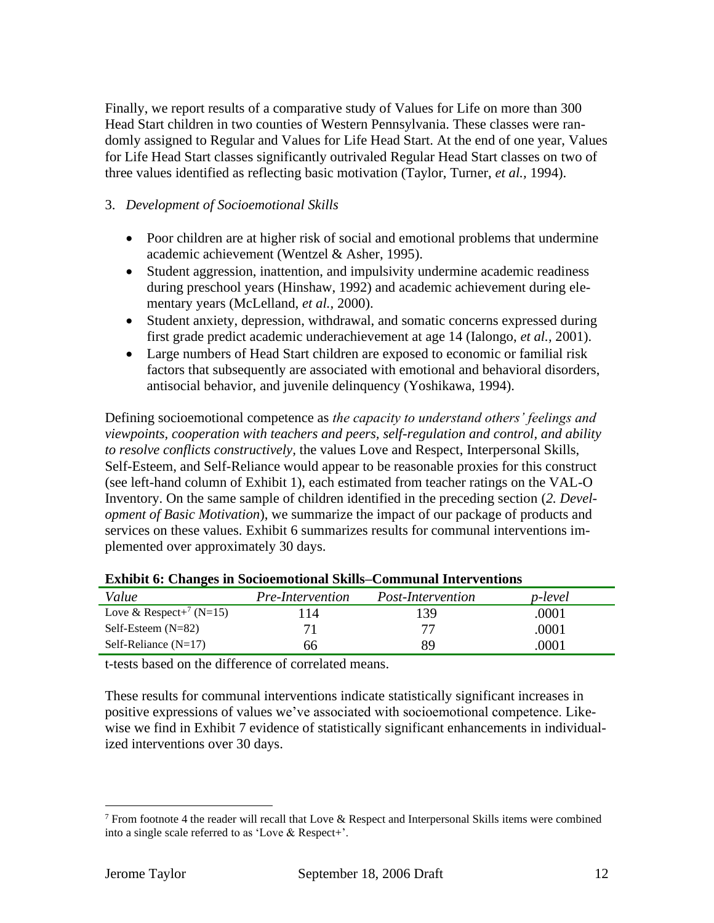Finally, we report results of a comparative study of Values for Life on more than 300 Head Start children in two counties of Western Pennsylvania. These classes were randomly assigned to Regular and Values for Life Head Start. At the end of one year, Values for Life Head Start classes significantly outrivaled Regular Head Start classes on two of three values identified as reflecting basic motivation (Taylor, Turner, *et al.,* 1994).

#### 3. *Development of Socioemotional Skills*

- Poor children are at higher risk of social and emotional problems that undermine academic achievement (Wentzel & Asher, 1995).
- Student aggression, inattention, and impulsivity undermine academic readiness during preschool years (Hinshaw, 1992) and academic achievement during elementary years (McLelland, *et al.,* 2000).
- Student anxiety, depression, withdrawal, and somatic concerns expressed during first grade predict academic underachievement at age 14 (Ialongo, *et al.,* 2001).
- Large numbers of Head Start children are exposed to economic or familial risk factors that subsequently are associated with emotional and behavioral disorders, antisocial behavior, and juvenile delinquency (Yoshikawa, 1994).

Defining socioemotional competence as *the capacity to understand others' feelings and viewpoints, cooperation with teachers and peers, self-regulation and control, and ability to resolve conflicts constructively,* the values Love and Respect, Interpersonal Skills, Self-Esteem, and Self-Reliance would appear to be reasonable proxies for this construct (see left-hand column of Exhibit 1), each estimated from teacher ratings on the VAL-O Inventory. On the same sample of children identified in the preceding section (*2. Development of Basic Motivation*), we summarize the impact of our package of products and services on these values. Exhibit 6 summarizes results for communal interventions implemented over approximately 30 days.

| Value                               | <i>Pre-Intervention</i> | <i>Post-Intervention</i> | <i>p-level</i> |
|-------------------------------------|-------------------------|--------------------------|----------------|
| Love & Respect+ <sup>7</sup> (N=15) | 14                      | -39                      | .0001          |
| Self-Esteem $(N=82)$                |                         |                          | .0001          |
| Self-Reliance $(N=17)$              | 66                      | 89                       | 0001           |

#### **Exhibit 6: Changes in Socioemotional Skills–Communal Interventions**

t-tests based on the difference of correlated means.

These results for communal interventions indicate statistically significant increases in positive expressions of values we've associated with socioemotional competence. Likewise we find in Exhibit 7 evidence of statistically significant enhancements in individualized interventions over 30 days.

 $7$  From footnote 4 the reader will recall that Love & Respect and Interpersonal Skills items were combined into a single scale referred to as 'Love & Respect+'.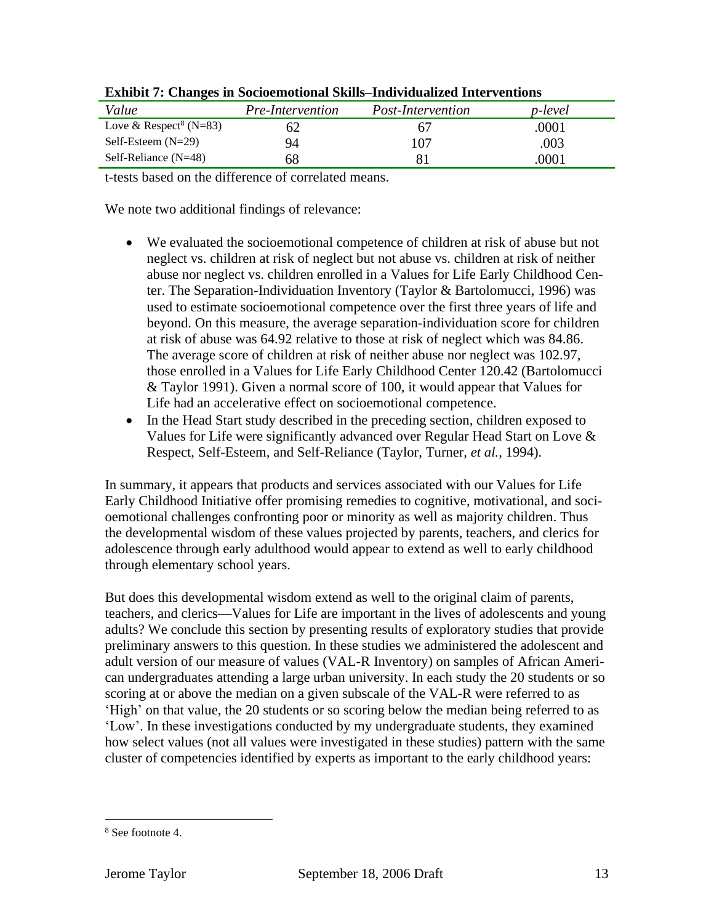| ີ                                  |                         |                          |                |
|------------------------------------|-------------------------|--------------------------|----------------|
| Value                              | <i>Pre-Intervention</i> | <i>Post-Intervention</i> | <i>p-level</i> |
| Love & Respect <sup>8</sup> (N=83) | 62                      |                          | .0001          |
| Self-Esteem $(N=29)$               | 94                      | 107                      | .003           |
| Self-Reliance $(N=48)$             | 68                      | $8^{\circ}$              | 0001           |
|                                    |                         |                          |                |

**Exhibit 7: Changes in Socioemotional Skills–Individualized Interventions**

t-tests based on the difference of correlated means.

We note two additional findings of relevance:

- We evaluated the socioemotional competence of children at risk of abuse but not neglect vs. children at risk of neglect but not abuse vs. children at risk of neither abuse nor neglect vs. children enrolled in a Values for Life Early Childhood Center. The Separation-Individuation Inventory (Taylor & Bartolomucci, 1996) was used to estimate socioemotional competence over the first three years of life and beyond. On this measure, the average separation-individuation score for children at risk of abuse was 64.92 relative to those at risk of neglect which was 84.86. The average score of children at risk of neither abuse nor neglect was 102.97, those enrolled in a Values for Life Early Childhood Center 120.42 (Bartolomucci & Taylor 1991). Given a normal score of 100, it would appear that Values for Life had an accelerative effect on socioemotional competence.
- In the Head Start study described in the preceding section, children exposed to Values for Life were significantly advanced over Regular Head Start on Love & Respect, Self-Esteem, and Self-Reliance (Taylor, Turner, *et al.,* 1994).

In summary, it appears that products and services associated with our Values for Life Early Childhood Initiative offer promising remedies to cognitive, motivational, and socioemotional challenges confronting poor or minority as well as majority children. Thus the developmental wisdom of these values projected by parents, teachers, and clerics for adolescence through early adulthood would appear to extend as well to early childhood through elementary school years.

But does this developmental wisdom extend as well to the original claim of parents, teachers, and clerics—Values for Life are important in the lives of adolescents and young adults? We conclude this section by presenting results of exploratory studies that provide preliminary answers to this question. In these studies we administered the adolescent and adult version of our measure of values (VAL-R Inventory) on samples of African American undergraduates attending a large urban university. In each study the 20 students or so scoring at or above the median on a given subscale of the VAL-R were referred to as 'High' on that value, the 20 students or so scoring below the median being referred to as 'Low'. In these investigations conducted by my undergraduate students, they examined how select values (not all values were investigated in these studies) pattern with the same cluster of competencies identified by experts as important to the early childhood years:

<sup>8</sup> See footnote 4.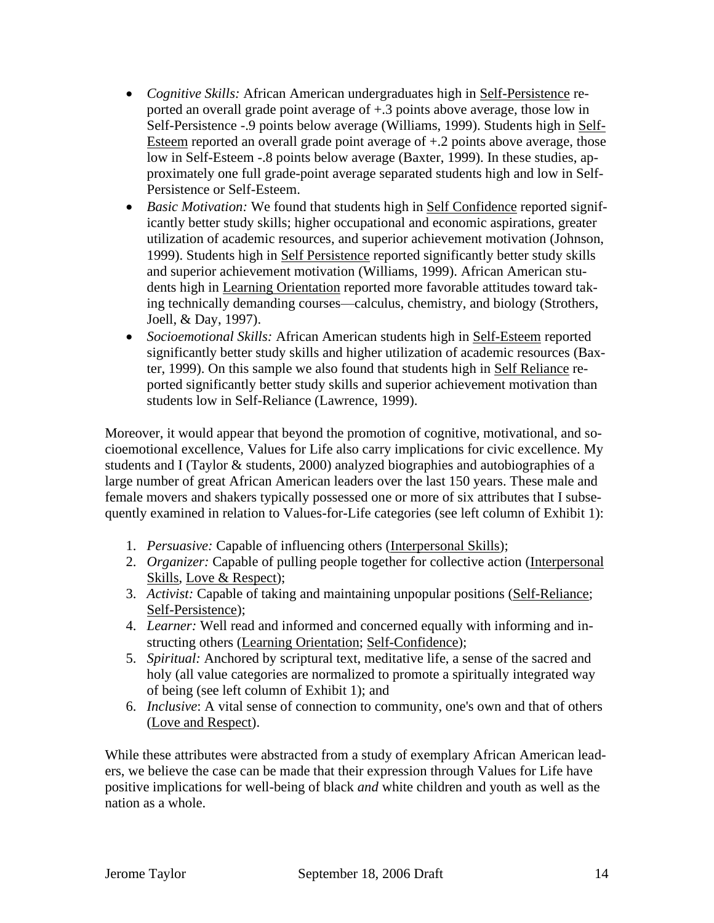- *Cognitive Skills:* African American undergraduates high in Self-Persistence reported an overall grade point average of +.3 points above average, those low in Self-Persistence -.9 points below average (Williams, 1999). Students high in Self-Esteem reported an overall grade point average of  $+$ .2 points above average, those low in Self-Esteem -.8 points below average (Baxter, 1999). In these studies, approximately one full grade-point average separated students high and low in Self-Persistence or Self-Esteem.
- *Basic Motivation:* We found that students high in Self Confidence reported significantly better study skills; higher occupational and economic aspirations, greater utilization of academic resources, and superior achievement motivation (Johnson, 1999). Students high in Self Persistence reported significantly better study skills and superior achievement motivation (Williams, 1999). African American students high in Learning Orientation reported more favorable attitudes toward taking technically demanding courses—calculus, chemistry, and biology (Strothers, Joell, & Day, 1997).
- *Socioemotional Skills:* African American students high in Self-Esteem reported significantly better study skills and higher utilization of academic resources (Baxter, 1999). On this sample we also found that students high in Self Reliance reported significantly better study skills and superior achievement motivation than students low in Self-Reliance (Lawrence, 1999).

Moreover, it would appear that beyond the promotion of cognitive, motivational, and socioemotional excellence, Values for Life also carry implications for civic excellence. My students and I (Taylor & students, 2000) analyzed biographies and autobiographies of a large number of great African American leaders over the last 150 years. These male and female movers and shakers typically possessed one or more of six attributes that I subsequently examined in relation to Values-for-Life categories (see left column of Exhibit 1):

- 1. *Persuasive:* Capable of influencing others (Interpersonal Skills);
- 2. *Organizer:* Capable of pulling people together for collective action (Interpersonal Skills, Love & Respect);
- 3. *Activist:* Capable of taking and maintaining unpopular positions (Self-Reliance; Self-Persistence);
- 4. *Learner:* Well read and informed and concerned equally with informing and instructing others (Learning Orientation; Self-Confidence);
- 5. *Spiritual:* Anchored by scriptural text, meditative life, a sense of the sacred and holy (all value categories are normalized to promote a spiritually integrated way of being (see left column of Exhibit 1); and
- 6. *Inclusive*: A vital sense of connection to community, one's own and that of others (Love and Respect).

While these attributes were abstracted from a study of exemplary African American leaders, we believe the case can be made that their expression through Values for Life have positive implications for well-being of black *and* white children and youth as well as the nation as a whole.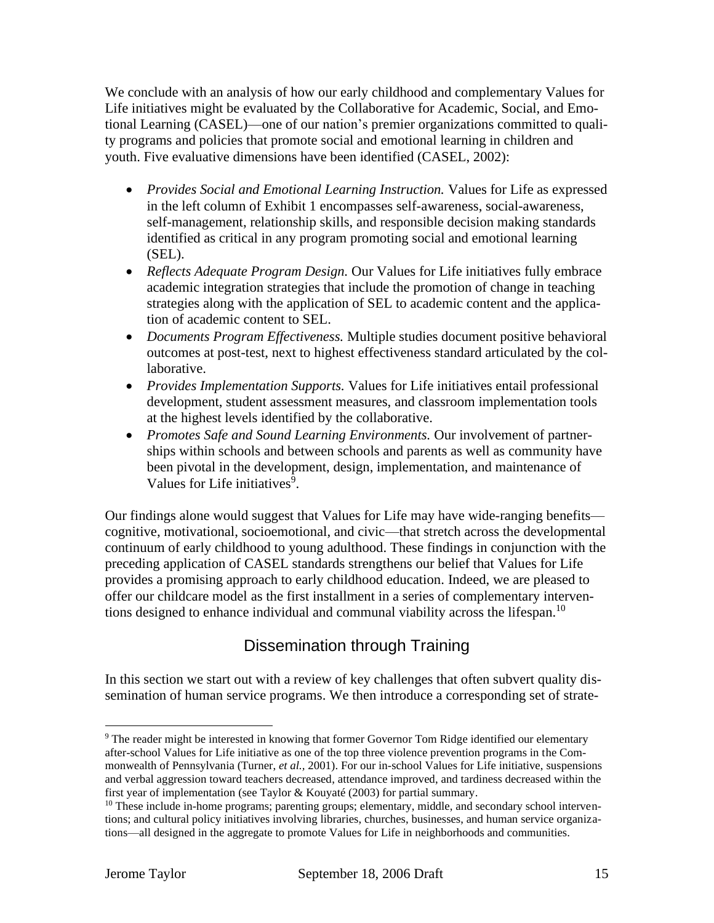We conclude with an analysis of how our early childhood and complementary Values for Life initiatives might be evaluated by the Collaborative for Academic, Social, and Emotional Learning (CASEL)—one of our nation's premier organizations committed to quality programs and policies that promote social and emotional learning in children and youth. Five evaluative dimensions have been identified (CASEL, 2002):

- *Provides Social and Emotional Learning Instruction.* Values for Life as expressed in the left column of Exhibit 1 encompasses self-awareness, social-awareness, self-management, relationship skills, and responsible decision making standards identified as critical in any program promoting social and emotional learning (SEL).
- *Reflects Adequate Program Design.* Our Values for Life initiatives fully embrace academic integration strategies that include the promotion of change in teaching strategies along with the application of SEL to academic content and the application of academic content to SEL.
- *Documents Program Effectiveness.* Multiple studies document positive behavioral outcomes at post-test, next to highest effectiveness standard articulated by the collaborative.
- *Provides Implementation Supports.* Values for Life initiatives entail professional development, student assessment measures, and classroom implementation tools at the highest levels identified by the collaborative.
- *Promotes Safe and Sound Learning Environments.* Our involvement of partnerships within schools and between schools and parents as well as community have been pivotal in the development, design, implementation, and maintenance of Values for Life initiatives<sup>9</sup>.

Our findings alone would suggest that Values for Life may have wide-ranging benefits cognitive, motivational, socioemotional, and civic—that stretch across the developmental continuum of early childhood to young adulthood. These findings in conjunction with the preceding application of CASEL standards strengthens our belief that Values for Life provides a promising approach to early childhood education. Indeed, we are pleased to offer our childcare model as the first installment in a series of complementary interventions designed to enhance individual and communal viability across the lifespan.<sup>10</sup>

# Dissemination through Training

In this section we start out with a review of key challenges that often subvert quality dissemination of human service programs. We then introduce a corresponding set of strate-

<sup>&</sup>lt;sup>9</sup> The reader might be interested in knowing that former Governor Tom Ridge identified our elementary after-school Values for Life initiative as one of the top three violence prevention programs in the Commonwealth of Pennsylvania (Turner, *et al.,* 2001). For our in-school Values for Life initiative, suspensions and verbal aggression toward teachers decreased, attendance improved, and tardiness decreased within the first year of implementation (see Taylor & Kouyaté (2003) for partial summary.

<sup>&</sup>lt;sup>10</sup> These include in-home programs; parenting groups; elementary, middle, and secondary school interventions; and cultural policy initiatives involving libraries, churches, businesses, and human service organizations—all designed in the aggregate to promote Values for Life in neighborhoods and communities.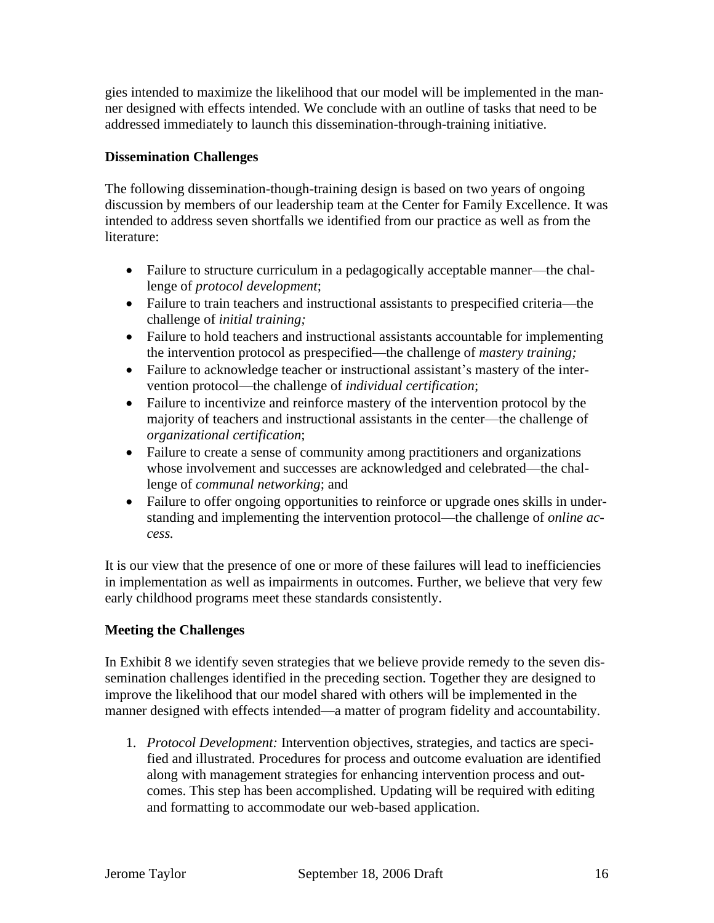gies intended to maximize the likelihood that our model will be implemented in the manner designed with effects intended. We conclude with an outline of tasks that need to be addressed immediately to launch this dissemination-through-training initiative.

#### **Dissemination Challenges**

The following dissemination-though-training design is based on two years of ongoing discussion by members of our leadership team at the Center for Family Excellence. It was intended to address seven shortfalls we identified from our practice as well as from the literature:

- Failure to structure curriculum in a pedagogically acceptable manner—the challenge of *protocol development*;
- Failure to train teachers and instructional assistants to prespecified criteria—the challenge of *initial training;*
- Failure to hold teachers and instructional assistants accountable for implementing the intervention protocol as prespecified—the challenge of *mastery training;*
- Failure to acknowledge teacher or instructional assistant's mastery of the intervention protocol—the challenge of *individual certification*;
- Failure to incentivize and reinforce mastery of the intervention protocol by the majority of teachers and instructional assistants in the center—the challenge of *organizational certification*;
- Failure to create a sense of community among practitioners and organizations whose involvement and successes are acknowledged and celebrated—the challenge of *communal networking*; and
- Failure to offer ongoing opportunities to reinforce or upgrade ones skills in understanding and implementing the intervention protocol—the challenge of *online access.*

It is our view that the presence of one or more of these failures will lead to inefficiencies in implementation as well as impairments in outcomes. Further, we believe that very few early childhood programs meet these standards consistently.

### **Meeting the Challenges**

In Exhibit 8 we identify seven strategies that we believe provide remedy to the seven dissemination challenges identified in the preceding section. Together they are designed to improve the likelihood that our model shared with others will be implemented in the manner designed with effects intended—a matter of program fidelity and accountability.

1. *Protocol Development:* Intervention objectives, strategies, and tactics are specified and illustrated. Procedures for process and outcome evaluation are identified along with management strategies for enhancing intervention process and outcomes. This step has been accomplished. Updating will be required with editing and formatting to accommodate our web-based application.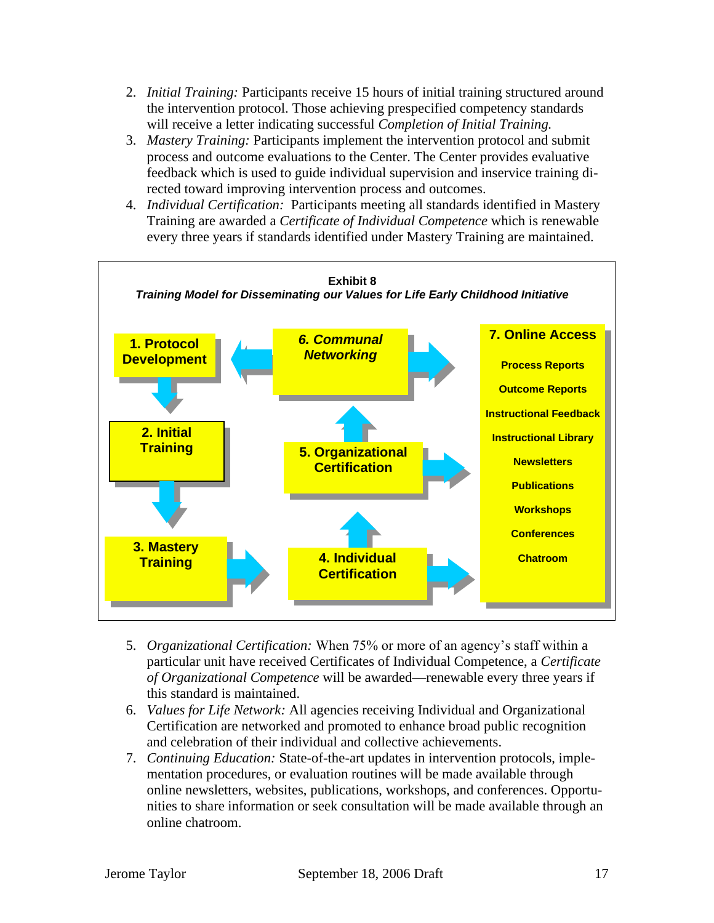- 2. *Initial Training:* Participants receive 15 hours of initial training structured around the intervention protocol. Those achieving prespecified competency standards will receive a letter indicating successful *Completion of Initial Training.*
- 3. *Mastery Training:* Participants implement the intervention protocol and submit process and outcome evaluations to the Center. The Center provides evaluative feedback which is used to guide individual supervision and inservice training directed toward improving intervention process and outcomes.
- 4. *Individual Certification:* Participants meeting all standards identified in Mastery Training are awarded a *Certificate of Individual Competence* which is renewable every three years if standards identified under Mastery Training are maintained.



- 5. *Organizational Certification:* When 75% or more of an agency's staff within a particular unit have received Certificates of Individual Competence, a *Certificate of Organizational Competence* will be awarded—renewable every three years if this standard is maintained.
- 6. *Values for Life Network:* All agencies receiving Individual and Organizational Certification are networked and promoted to enhance broad public recognition and celebration of their individual and collective achievements.
- 7. *Continuing Education:* State-of-the-art updates in intervention protocols, implementation procedures, or evaluation routines will be made available through online newsletters, websites, publications, workshops, and conferences. Opportunities to share information or seek consultation will be made available through an online chatroom.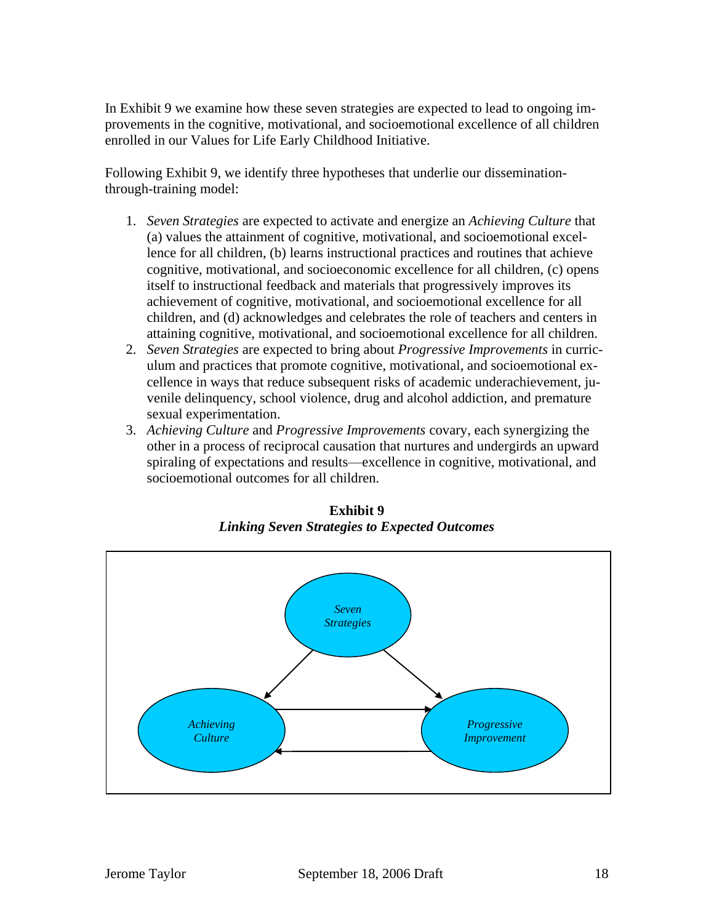In Exhibit 9 we examine how these seven strategies are expected to lead to ongoing improvements in the cognitive, motivational, and socioemotional excellence of all children enrolled in our Values for Life Early Childhood Initiative.

Following Exhibit 9, we identify three hypotheses that underlie our disseminationthrough-training model:

- 1. *Seven Strategies* are expected to activate and energize an *Achieving Culture* that (a) values the attainment of cognitive, motivational, and socioemotional excellence for all children, (b) learns instructional practices and routines that achieve cognitive, motivational, and socioeconomic excellence for all children, (c) opens itself to instructional feedback and materials that progressively improves its achievement of cognitive, motivational, and socioemotional excellence for all children, and (d) acknowledges and celebrates the role of teachers and centers in attaining cognitive, motivational, and socioemotional excellence for all children.
- 2. *Seven Strategies* are expected to bring about *Progressive Improvements* in curriculum and practices that promote cognitive, motivational, and socioemotional excellence in ways that reduce subsequent risks of academic underachievement, juvenile delinquency, school violence, drug and alcohol addiction, and premature sexual experimentation.
- 3. *Achieving Culture* and *Progressive Improvements* covary, each synergizing the other in a process of reciprocal causation that nurtures and undergirds an upward spiraling of expectations and results—excellence in cognitive, motivational, and socioemotional outcomes for all children.



**Exhibit 9** *Linking Seven Strategies to Expected Outcomes*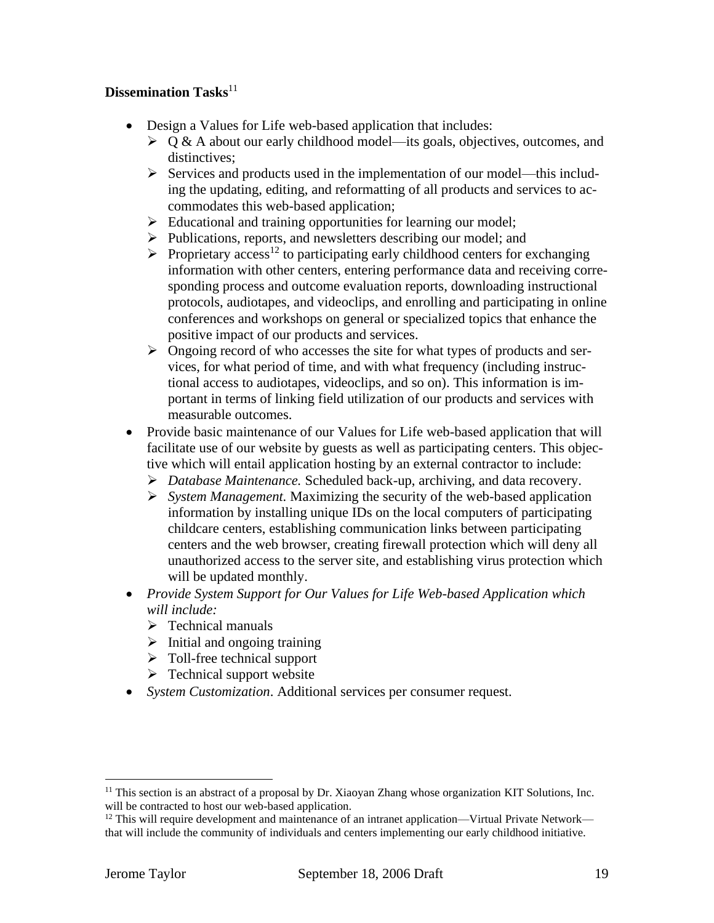#### **Dissemination Tasks**<sup>11</sup>

- Design a Values for Life web-based application that includes:
	- $\triangleright$  Q & A about our early childhood model—its goals, objectives, outcomes, and distinctives:
	- ➢ Services and products used in the implementation of our model—this including the updating, editing, and reformatting of all products and services to accommodates this web-based application;
	- ➢ Educational and training opportunities for learning our model;
	- ➢ Publications, reports, and newsletters describing our model; and
	- $\triangleright$  Proprietary access<sup>12</sup> to participating early childhood centers for exchanging information with other centers, entering performance data and receiving corresponding process and outcome evaluation reports, downloading instructional protocols, audiotapes, and videoclips, and enrolling and participating in online conferences and workshops on general or specialized topics that enhance the positive impact of our products and services.
	- ➢ Ongoing record of who accesses the site for what types of products and services, for what period of time, and with what frequency (including instructional access to audiotapes, videoclips, and so on). This information is important in terms of linking field utilization of our products and services with measurable outcomes.
- Provide basic maintenance of our Values for Life web-based application that will facilitate use of our website by guests as well as participating centers. This objective which will entail application hosting by an external contractor to include:
	- ➢ *Database Maintenance.* Scheduled back-up, archiving, and data recovery.
	- ➢ *System Management.* Maximizing the security of the web-based application information by installing unique IDs on the local computers of participating childcare centers, establishing communication links between participating centers and the web browser, creating firewall protection which will deny all unauthorized access to the server site, and establishing virus protection which will be updated monthly.
- *Provide System Support for Our Values for Life Web-based Application which will include:*
	- $\triangleright$  Technical manuals
	- $\triangleright$  Initial and ongoing training
	- ➢ Toll-free technical support
	- $\triangleright$  Technical support website
- *System Customization*. Additional services per consumer request.

 $11$  This section is an abstract of a proposal by Dr. Xiaoyan Zhang whose organization KIT Solutions, Inc. will be contracted to host our web-based application.

<sup>&</sup>lt;sup>12</sup> This will require development and maintenance of an intranet application—Virtual Private Network that will include the community of individuals and centers implementing our early childhood initiative.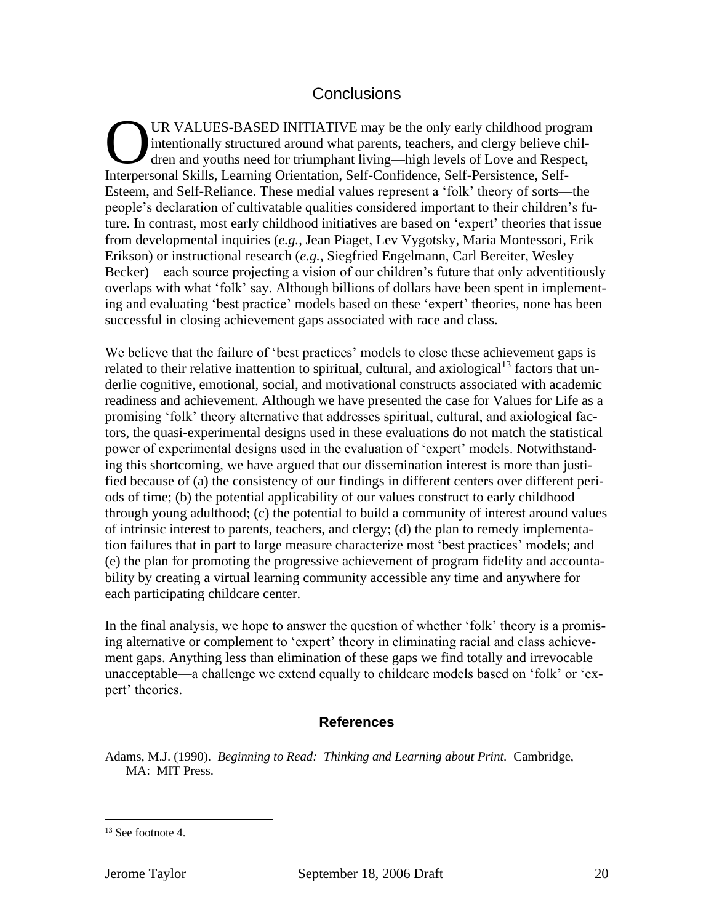# **Conclusions**

UR VALUES-BASED INITIATIVE may be the only early childhood program intentionally structured around what parents, teachers, and clergy believe children and youths need for triumphant living—high levels of Love and Respect, UR VALUES-BASED INITIATIVE may be the only early childhood progententionally structured around what parents, teachers, and clergy believe correlation and youths need for triumphant living—high levels of Love and Resp Inter Esteem, and Self-Reliance. These medial values represent a 'folk' theory of sorts—the people's declaration of cultivatable qualities considered important to their children's future. In contrast, most early childhood initiatives are based on 'expert' theories that issue from developmental inquiries (*e.g.,* Jean Piaget, Lev Vygotsky, Maria Montessori, Erik Erikson) or instructional research (*e.g.,* Siegfried Engelmann, Carl Bereiter, Wesley Becker)—each source projecting a vision of our children's future that only adventitiously overlaps with what 'folk' say. Although billions of dollars have been spent in implementing and evaluating 'best practice' models based on these 'expert' theories, none has been successful in closing achievement gaps associated with race and class.

We believe that the failure of 'best practices' models to close these achievement gaps is related to their relative inattention to spiritual, cultural, and axiological<sup>13</sup> factors that underlie cognitive, emotional, social, and motivational constructs associated with academic readiness and achievement. Although we have presented the case for Values for Life as a promising 'folk' theory alternative that addresses spiritual, cultural, and axiological factors, the quasi-experimental designs used in these evaluations do not match the statistical power of experimental designs used in the evaluation of 'expert' models. Notwithstanding this shortcoming, we have argued that our dissemination interest is more than justified because of (a) the consistency of our findings in different centers over different periods of time; (b) the potential applicability of our values construct to early childhood through young adulthood; (c) the potential to build a community of interest around values of intrinsic interest to parents, teachers, and clergy; (d) the plan to remedy implementation failures that in part to large measure characterize most 'best practices' models; and (e) the plan for promoting the progressive achievement of program fidelity and accountability by creating a virtual learning community accessible any time and anywhere for each participating childcare center.

In the final analysis, we hope to answer the question of whether 'folk' theory is a promising alternative or complement to 'expert' theory in eliminating racial and class achievement gaps. Anything less than elimination of these gaps we find totally and irrevocable unacceptable—a challenge we extend equally to childcare models based on 'folk' or 'expert' theories.

#### **References**

Adams, M.J. (1990). *Beginning to Read: Thinking and Learning about Print.* Cambridge, MA: MIT Press.

<sup>13</sup> See footnote 4.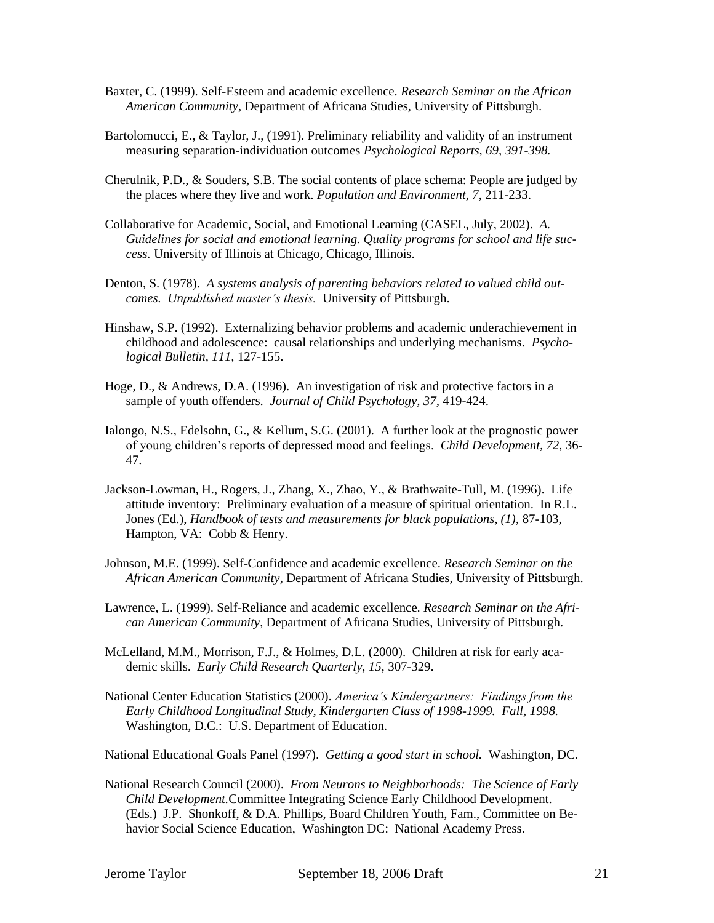- Baxter, C. (1999). Self-Esteem and academic excellence. *Research Seminar on the African American Community*, Department of Africana Studies, University of Pittsburgh.
- Bartolomucci, E., & Taylor, J., (1991). Preliminary reliability and validity of an instrument measuring separation-individuation outcomes *Psychological Reports, 69, 391-398.*
- Cherulnik, P.D., & Souders, S.B. The social contents of place schema: People are judged by the places where they live and work. *Population and Environment, 7*, 211-233.
- Collaborative for Academic, Social, and Emotional Learning (CASEL, July, 2002). *A. Guidelines for social and emotional learning. Quality programs for school and life success.* University of Illinois at Chicago, Chicago, Illinois.
- Denton, S. (1978). *A systems analysis of parenting behaviors related to valued child outcomes. Unpublished master's thesis.* University of Pittsburgh.
- Hinshaw, S.P. (1992). Externalizing behavior problems and academic underachievement in childhood and adolescence: causal relationships and underlying mechanisms. *Psychological Bulletin, 111,* 127-155.
- Hoge, D., & Andrews, D.A. (1996). An investigation of risk and protective factors in a sample of youth offenders*. Journal of Child Psychology, 37,* 419-424.
- Ialongo, N.S., Edelsohn, G., & Kellum, S.G. (2001). A further look at the prognostic power of young children's reports of depressed mood and feelings. *Child Development, 72*, 36- 47.
- Jackson-Lowman, H., Rogers, J., Zhang, X., Zhao, Y., & Brathwaite-Tull, M. (1996). Life attitude inventory: Preliminary evaluation of a measure of spiritual orientation. In R.L. Jones (Ed.), *Handbook of tests and measurements for black populations, (1),* 87-103, Hampton, VA: Cobb & Henry.
- Johnson, M.E. (1999). Self-Confidence and academic excellence. *Research Seminar on the African American Community*, Department of Africana Studies, University of Pittsburgh.
- Lawrence, L. (1999). Self-Reliance and academic excellence. *Research Seminar on the African American Community*, Department of Africana Studies, University of Pittsburgh.
- McLelland, M.M., Morrison, F.J., & Holmes, D.L. (2000). Children at risk for early academic skills. *Early Child Research Quarterly, 15,* 307-329.
- National Center Education Statistics (2000). *America's Kindergartners: Findings from the Early Childhood Longitudinal Study, Kindergarten Class of 1998-1999. Fall, 1998.* Washington, D.C.: U.S. Department of Education.

National Educational Goals Panel (1997). *Getting a good start in school.* Washington, DC.

National Research Council (2000). *From Neurons to Neighborhoods: The Science of Early Child Development.*Committee Integrating Science Early Childhood Development. (Eds.) J.P. Shonkoff, & D.A. Phillips, Board Children Youth, Fam., Committee on Behavior Social Science Education, Washington DC: National Academy Press.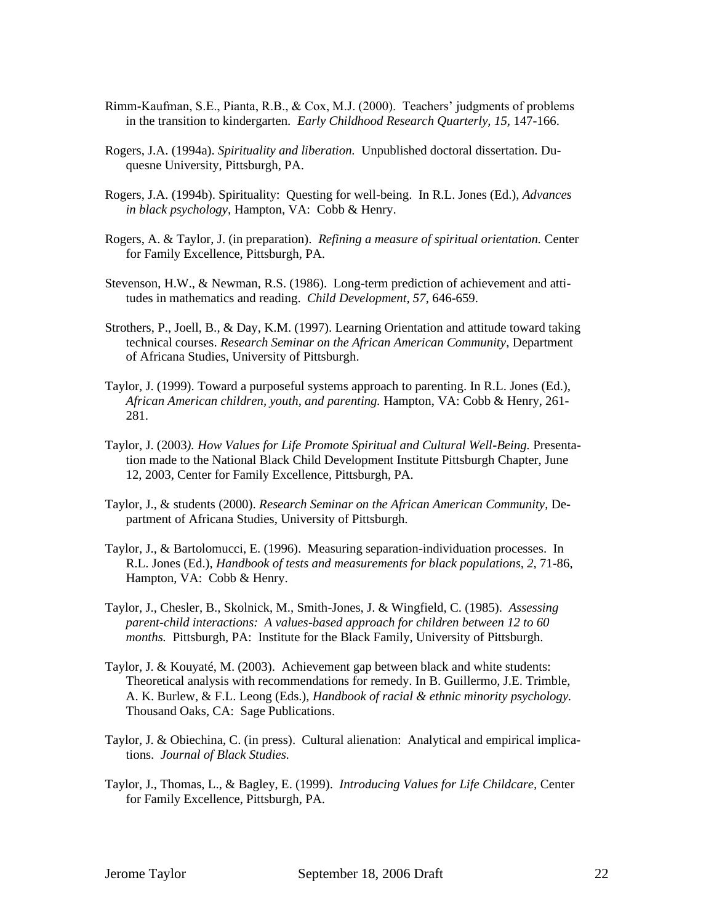- Rimm-Kaufman, S.E., Pianta, R.B., & Cox, M.J. (2000). Teachers' judgments of problems in the transition to kindergarten. *Early Childhood Research Quarterly, 15,* 147-166.
- Rogers, J.A. (1994a). *Spirituality and liberation.* Unpublished doctoral dissertation. Duquesne University, Pittsburgh, PA.
- Rogers, J.A. (1994b). Spirituality: Questing for well-being. In R.L. Jones (Ed.), *Advances in black psychology,* Hampton, VA: Cobb & Henry.
- Rogers, A. & Taylor, J. (in preparation). *Refining a measure of spiritual orientation.* Center for Family Excellence, Pittsburgh, PA.
- Stevenson, H.W., & Newman, R.S. (1986). Long-term prediction of achievement and attitudes in mathematics and reading. *Child Development, 57*, 646-659.
- Strothers, P., Joell, B., & Day, K.M. (1997). Learning Orientation and attitude toward taking technical courses. *Research Seminar on the African American Community*, Department of Africana Studies, University of Pittsburgh.
- Taylor, J. (1999). Toward a purposeful systems approach to parenting. In R.L. Jones (Ed.), *African American children, youth, and parenting.* Hampton, VA: Cobb & Henry, 261- 281.
- Taylor, J. (2003*). How Values for Life Promote Spiritual and Cultural Well-Being.* Presentation made to the National Black Child Development Institute Pittsburgh Chapter, June 12, 2003, Center for Family Excellence, Pittsburgh, PA.
- Taylor, J., & students (2000). *Research Seminar on the African American Community*, Department of Africana Studies, University of Pittsburgh.
- Taylor, J., & Bartolomucci, E. (1996). Measuring separation-individuation processes. In R.L. Jones (Ed.), *Handbook of tests and measurements for black populations, 2,* 71-86, Hampton, VA: Cobb & Henry.
- Taylor, J., Chesler, B., Skolnick, M., Smith-Jones, J. & Wingfield, C. (1985). *Assessing parent-child interactions: A values-based approach for children between 12 to 60 months.* Pittsburgh, PA: Institute for the Black Family, University of Pittsburgh.
- Taylor, J. & Kouyaté, M. (2003). Achievement gap between black and white students: Theoretical analysis with recommendations for remedy. In B. Guillermo, J.E. Trimble, A. K. Burlew, & F.L. Leong (Eds.), *Handbook of racial & ethnic minority psychology.* Thousand Oaks, CA: Sage Publications.
- Taylor, J. & Obiechina, C. (in press). Cultural alienation: Analytical and empirical implications. *Journal of Black Studies.*
- Taylor, J., Thomas, L., & Bagley, E. (1999). *Introducing Values for Life Childcare,* Center for Family Excellence, Pittsburgh, PA.